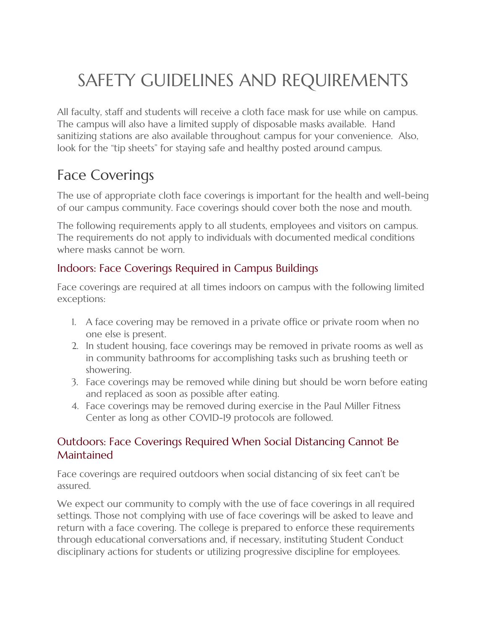# SAFETY GUIDELINES AND REQUIREMENTS

All faculty, staff and students will receive a cloth face mask for use while on campus. The campus will also have a limited supply of disposable masks available. Hand sanitizing stations are also available throughout campus for your convenience. Also, look for the "tip sheets" for staying safe and healthy posted around campus.

#### Face Coverings

The use of appropriate cloth face coverings is important for the health and well-being of our campus community. Face coverings should cover both the nose and mouth.

The following requirements apply to all students, employees and visitors on campus. The requirements do not apply to individuals with documented medical conditions where masks cannot be worn.

#### Indoors: Face Coverings Required in Campus Buildings

Face coverings are required at all times indoors on campus with the following limited exceptions:

- 1. A face covering may be removed in a private office or private room when no one else is present.
- 2. In student housing, face coverings may be removed in private rooms as well as in community bathrooms for accomplishing tasks such as brushing teeth or showering.
- 3. Face coverings may be removed while dining but should be worn before eating and replaced as soon as possible after eating.
- 4. Face coverings may be removed during exercise in the Paul Miller Fitness Center as long as other COVID-19 protocols are followed.

#### Outdoors: Face Coverings Required When Social Distancing Cannot Be Maintained

Face coverings are required outdoors when social distancing of six feet can't be assured.

We expect our community to comply with the use of face coverings in all required settings. Those not complying with use of face coverings will be asked to leave and return with a face covering. The college is prepared to enforce these requirements through educational conversations and, if necessary, instituting Student Conduct disciplinary actions for students or utilizing progressive discipline for employees.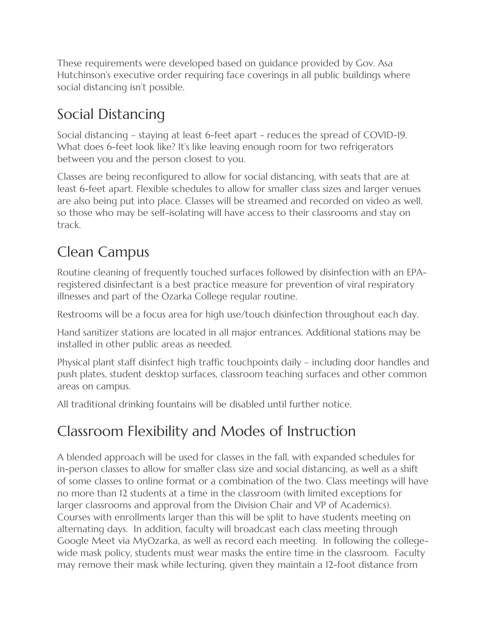These requirements were developed based on guidance provided by Gov. Asa Hutchinson's executive order requiring face coverings in all public buildings where social distancing isn't possible.

### Social Distancing

Social distancing – staying at least 6-feet apart - reduces the spread of COVID-19. What does 6-feet look like? It's like leaving enough room for two refrigerators between you and the person closest to you.

Classes are being reconfigured to allow for social distancing, with seats that are at least 6-feet apart. Flexible schedules to allow for smaller class sizes and larger venues are also being put into place. Classes will be streamed and recorded on video as well, so those who may be self-isolating will have access to their classrooms and stay on track.

#### Clean Campus

Routine cleaning of frequently touched surfaces followed by disinfection with an EPAregistered disinfectant is a best practice measure for prevention of viral respiratory illnesses and part of the Ozarka College regular routine.

Restrooms will be a focus area for high use/touch disinfection throughout each day.

Hand sanitizer stations are located in all major entrances. Additional stations may be installed in other public areas as needed.

Physical plant staff disinfect high traffic touchpoints daily – including door handles and push plates, student desktop surfaces, classroom teaching surfaces and other common areas on campus.

All traditional drinking fountains will be disabled until further notice.

### Classroom Flexibility and Modes of Instruction

A blended approach will be used for classes in the fall, with expanded schedules for in-person classes to allow for smaller class size and social distancing, as well as a shift of some classes to online format or a combination of the two. Class meetings will have no more than 12 students at a time in the classroom (with limited exceptions for larger classrooms and approval from the Division Chair and VP of Academics). Courses with enrollments larger than this will be split to have students meeting on alternating days. In addition, faculty will broadcast each class meeting through Google Meet via MyOzarka, as well as record each meeting. In following the collegewide mask policy, students must wear masks the entire time in the classroom. Faculty may remove their mask while lecturing, given they maintain a 12-foot distance from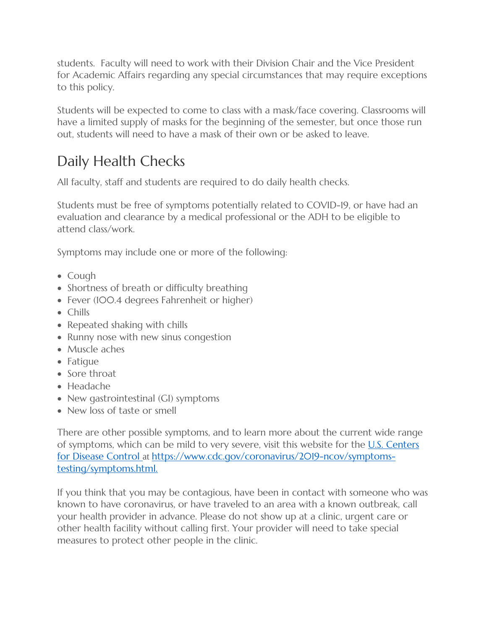students. Faculty will need to work with their Division Chair and the Vice President for Academic Affairs regarding any special circumstances that may require exceptions to this policy.

Students will be expected to come to class with a mask/face covering. Classrooms will have a limited supply of masks for the beginning of the semester, but once those run out, students will need to have a mask of their own or be asked to leave.

### Daily Health Checks

All faculty, staff and students are required to do daily health checks.

Students must be free of symptoms potentially related to COVID-19, or have had an evaluation and clearance by a medical professional or the ADH to be eligible to attend class/work.

Symptoms may include one or more of the following:

- Cough
- Shortness of breath or difficulty breathing
- Fever (100.4 degrees Fahrenheit or higher)
- Chills
- Repeated shaking with chills
- Runny nose with new sinus congestion
- Muscle aches
- Fatigue
- Sore throat
- Headache
- New gastrointestinal (GI) symptoms
- New loss of taste or smell

There are other possible symptoms, and to learn more about the current wide range of symptoms, which can be mild to very severe, visit this website for the  $U.S.$  Centers [for Disease Control](https://www.cdc.gov/coronavirus/2019-ncov/symptoms-testing/symptoms.html) at https://www.cdc.gov/coronavirus/2019-ncov/symptomstesting/symptoms.html.

If you think that you may be contagious, have been in contact with someone who was known to have coronavirus, or have traveled to an area with a known outbreak, call your health provider in advance. Please do not show up at a clinic, urgent care or other health facility without calling first. Your provider will need to take special measures to protect other people in the clinic.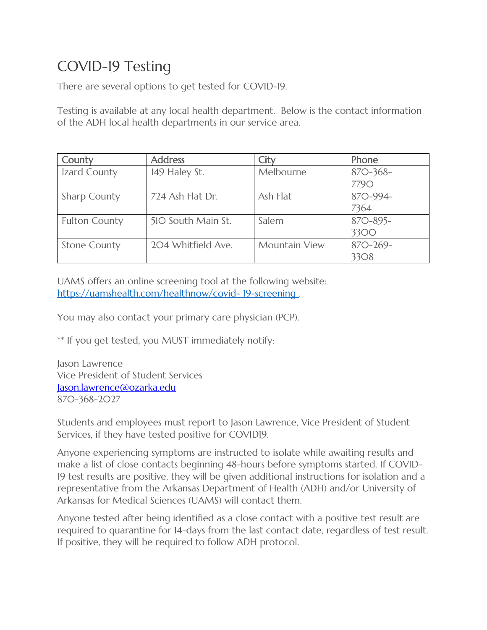### COVID-19 Testing

There are several options to get tested for COVID-19.

Testing is available at any local health department. Below is the contact information of the ADH local health departments in our service area.

| County               | <b>Address</b>     | City                 | Phone       |
|----------------------|--------------------|----------------------|-------------|
| Izard County         | 149 Haley St.      | Melbourne            | $87O-368-$  |
|                      |                    |                      | <b>7790</b> |
| <b>Sharp County</b>  | 724 Ash Flat Dr.   | Ash Flat             | 870-994-    |
|                      |                    |                      | 7364        |
| <b>Fulton County</b> | 510 South Main St. | Salem                | 870-895-    |
|                      |                    |                      | 3300        |
| <b>Stone County</b>  | 204 Whitfield Ave. | <b>Mountain View</b> | $87O-269-$  |
|                      |                    |                      | 3308        |

UAMS offers an online screening tool at the following website: [https://uamshealth.com/healthnow/covid-](https://uamshealth.com/healthnow/covid-19-screening) [19-screening .](https://uamshealth.com/healthnow/covid-19-screening)

You may also contact your primary care physician (PCP).

\*\* If you get tested, you MUST immediately notify:

Jason Lawrence Vice President of Student Services [Jason.lawrence@ozarka.edu](mailto:Jason.lawrence@ozarka.edu) 870-368-2027

Students and employees must report to Jason Lawrence, Vice President of Student Services, if they have tested positive for COVID19.

Anyone experiencing symptoms are instructed to isolate while awaiting results and make a list of close contacts beginning 48-hours before symptoms started. If COVID-19 test results are positive, they will be given additional instructions for isolation and a representative from the Arkansas Department of Health (ADH) and/or University of Arkansas for Medical Sciences (UAMS) will contact them.

Anyone tested after being identified as a close contact with a positive test result are required to quarantine for 14-days from the last contact date, regardless of test result. If positive, they will be required to follow ADH protocol.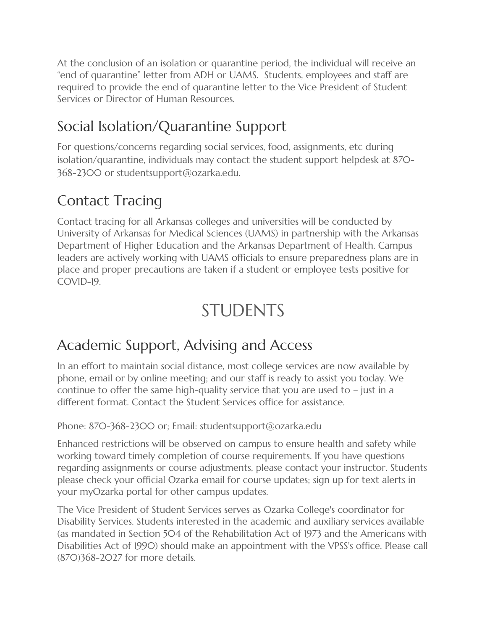At the conclusion of an isolation or quarantine period, the individual will receive an "end of quarantine" letter from ADH or UAMS. Students, employees and staff are required to provide the end of quarantine letter to the Vice President of Student Services or Director of Human Resources.

### Social Isolation/Quarantine Support

For questions/concerns regarding social services, food, assignments, etc during isolation/quarantine, individuals may contact the student support helpdesk at 870- 368-2300 or studentsupport@ozarka.edu.

#### Contact Tracing

Contact tracing for all Arkansas colleges and universities will be conducted by University of Arkansas for Medical Sciences (UAMS) in partnership with the Arkansas Department of Higher Education and the Arkansas Department of Health. Campus leaders are actively working with UAMS officials to ensure preparedness plans are in place and proper precautions are taken if a student or employee tests positive for COVID-19.

## STUDENTS

#### Academic Support, Advising and Access

In an effort to maintain social distance, most college services are now available by phone, email or by online meeting; and our staff is ready to assist you today. We continue to offer the same high-quality service that you are used to – just in a different format. Contact the Student Services office for assistance.

Phone: 870-368-2300 or; Email: studentsupport@ozarka.edu

Enhanced restrictions will be observed on campus to ensure health and safety while working toward timely completion of course requirements. If you have questions regarding assignments or course adjustments, please contact your instructor. Students please check your official Ozarka email for course updates; sign up for text alerts in your myOzarka portal for other campus updates.

The Vice President of Student Services serves as Ozarka College's coordinator for Disability Services. Students interested in the academic and auxiliary services available (as mandated in Section 504 of the Rehabilitation Act of 1973 and the Americans with Disabilities Act of 1990) should make an appointment with the VPSS's office. Please call (870)368-2027 for more details.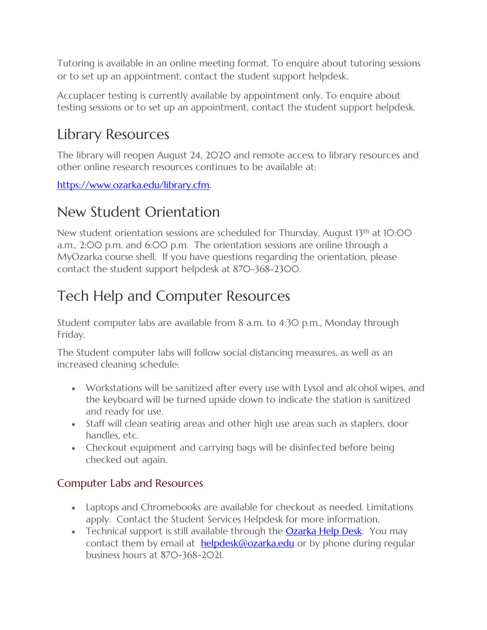Tutoring is available in an online meeting format. To enquire about tutoring sessions or to set up an appointment, contact the student support helpdesk.

Accuplacer testing is currently available by appointment only. To enquire about testing sessions or to set up an appointment, contact the student support helpdesk.

#### Library Resources

The library will reopen August 24, 2020 and remote access to library resources and other online research resources continues to be available at:

[https://www.ozarka.edu/library.cfm.](https://www.ozarka.edu/library.cfm) 

#### New Student Orientation

New student orientation sessions are scheduled for Thursday, August 13<sup>th</sup> at 10:00 a.m., 2:00 p.m. and 6:00 p.m. The orientation sessions are online through a MyOzarka course shell. If you have questions regarding the orientation, please contact the student support helpdesk at 870-368-2300.

### Tech Help and Computer Resources

Student computer labs are available from 8 a.m. to 4:30 p.m., Monday through Friday.

The Student computer labs will follow social distancing measures, as well as an increased cleaning schedule:

- Workstations will be sanitized after every use with Lysol and alcohol wipes, and the keyboard will be turned upside down to indicate the station is sanitized and ready for use.
- Staff will clean seating areas and other high use areas such as staplers, door handles, etc.
- Checkout equipment and carrying bags will be disinfected before being checked out again.

#### Computer Labs and Resources

- Laptops and Chromebooks are available for checkout as needed. Limitations apply. Contact the Student Services Helpdesk for more information.
- Technical support is still available through the **Ozarka Help Desk**. You may contact them by email at **[helpdesk@ozarka.edu](mailto:helpdesk@ozarka.edu)** or by phone during regular business hours at 870-368-2021.